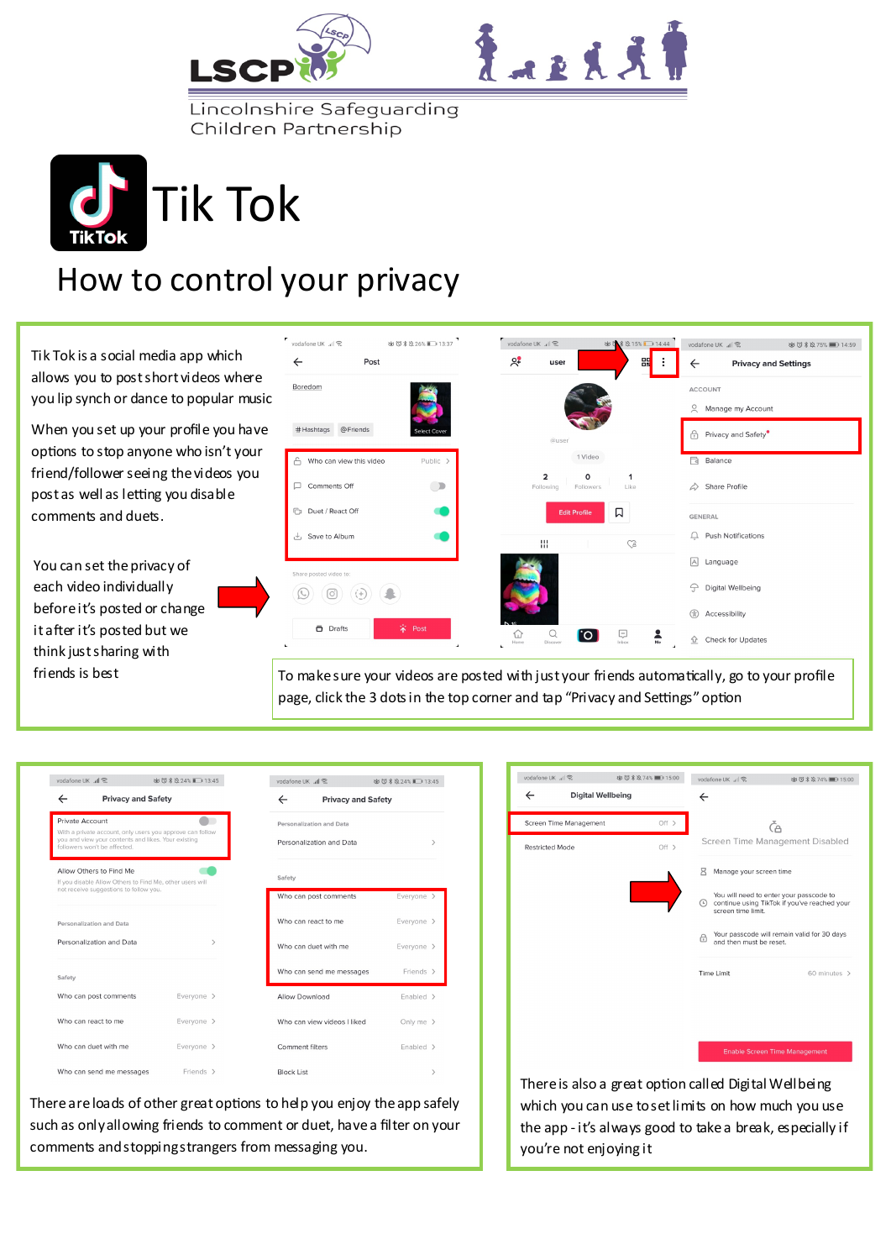



Lincolnshire Safeguarding Children Partnership



## How to control your privacy

Tik Tok is a social media app which allows you to post short videos where you lip synch or dance to popular music

When you set up your profile you have options to stop anyone who isn't your friend/follower seeing the videos you post as well as letting you disable comments and duets.

You can set the privacy of each video individually before it's posted or change it after it's posted but we think just sharing with friends is best



To make sure your videos are posted with just your friends automatically, go to your profile page, click the 3 dots in the top corner and tap "Privacy and Settings" option

| vodafone UK "III ®                                                                                                                                                  | 卤 ① * 24% ■ 13:45 | vodafone UK all                                      | 卤 ① * 24% ■ 13:45         |  |
|---------------------------------------------------------------------------------------------------------------------------------------------------------------------|-------------------|------------------------------------------------------|---------------------------|--|
| <b>Privacy and Safety</b><br>$\leftarrow$                                                                                                                           |                   | $\leftarrow$                                         | <b>Privacy and Safety</b> |  |
| Private Account<br>With a private account, only users you approve can follow<br>you and view your contents and likes. Your existing<br>followers won't be affected. |                   | Personalization and Data<br>Personalization and Data |                           |  |
| Allow Others to Find Me<br>If you disable Allow Others to Find Me, other users will<br>not receive suggestions to follow you.                                       |                   | Safety<br>Who can post comments                      | Everyone >                |  |
| Personalization and Data                                                                                                                                            |                   | Who can react to me                                  | Everyone >                |  |
| Personalization and Data                                                                                                                                            | $\mathcal{P}$     | Who can duet with me                                 | Everyone >                |  |
| Safety                                                                                                                                                              |                   | Who can send me messages                             | Friends >                 |  |
| Who can post comments                                                                                                                                               | Everyone >        | Allow Download                                       | Enabled >                 |  |
| Who can react to me                                                                                                                                                 | Everyone >        | Who can view videos I liked                          | Only me $\rightarrow$     |  |
| Who can duet with me                                                                                                                                                | Everyone >        | Comment filters                                      | Enabled >                 |  |
| Who can send me messages                                                                                                                                            | Friends >         | <b>Block List</b>                                    |                           |  |

| $\leftarrow$<br><b>Digital Wellbeing</b> |       |                                                                             |                                              |
|------------------------------------------|-------|-----------------------------------------------------------------------------|----------------------------------------------|
| Screen Time Management                   | Off > | ČА                                                                          |                                              |
| <b>Restricted Mode</b>                   | Off > | Screen Time Management Disabled                                             |                                              |
|                                          |       | R<br>Manage your screen time                                                |                                              |
|                                          |       | You will need to enter your passcode to<br>⊙<br>screen time limit.          | continue using TikTok if you've reached your |
|                                          |       | Your passcode will remain valid for 30 days<br>⊕<br>and then must be reset. |                                              |
|                                          |       | <b>Time Limit</b>                                                           | 60 minutes >                                 |
|                                          |       |                                                                             |                                              |
|                                          |       |                                                                             |                                              |
|                                          |       | <b>Enable Screen Time Management</b>                                        |                                              |
|                                          |       |                                                                             |                                              |

ゆび \* ☆ 74% ■■ 15:00

vodafone UK 』 常 b b b b b b 3 x 3 74% ■ 15:00 vodafone UK 』 | 《

There are loads of other great options to help you enjoy the app safely such as only allowing friends to comment or duet, have a filter on your comments and stopping strangers from messaging you.

There is also a great option called Digital Wellbeing which you can use to set limits on how much you use the app - it's always good to take a break, especially if you're not enjoying it